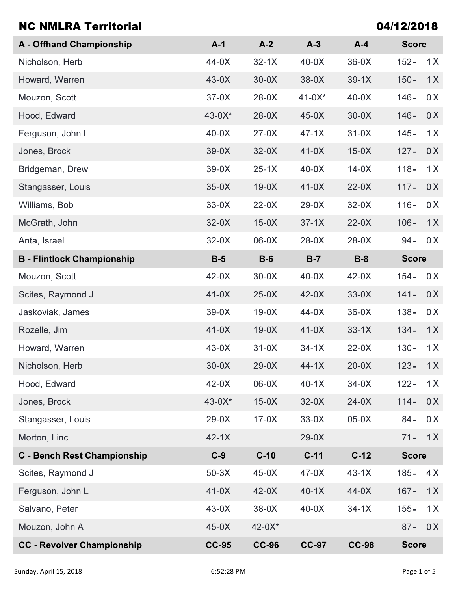| <b>NC NMLRA Territorial</b>        |              |              |              |              | 04/12/2018     |  |
|------------------------------------|--------------|--------------|--------------|--------------|----------------|--|
| A - Offhand Championship           | $A-1$        | $A-2$        | $A-3$        | $A-4$        | <b>Score</b>   |  |
| Nicholson, Herb                    | 44-0X        | $32-1X$      | $40-0X$      | $36-0X$      | $152 -$<br>1X  |  |
| Howard, Warren                     | $43-0X$      | $30-0X$      | $38-0X$      | $39-1X$      | $150 -$<br>1X  |  |
| Mouzon, Scott                      | $37-0X$      | $28-0X$      | $41-0X^*$    | $40-0X$      | $146 -$<br>0X  |  |
| Hood, Edward                       | $43 - 0X^*$  | $28-0X$      | $45-0X$      | $30-0X$      | $146 -$<br>0X  |  |
| Ferguson, John L                   | $40-0X$      | $27-0X$      | $47-1X$      | $31-0X$      | $145 -$<br>1X  |  |
| Jones, Brock                       | $39-0X$      | $32-0X$      | $41-0X$      | $15-0X$      | $127 -$<br>0X  |  |
| Bridgeman, Drew                    | $39-0X$      | $25-1X$      | $40-0X$      | $14-0X$      | 1X<br>$118 -$  |  |
| Stangasser, Louis                  | $35-0X$      | $19-0X$      | $41-0X$      | $22-0X$      | $117 -$<br>0X  |  |
| Williams, Bob                      | $33-0X$      | $22-0X$      | $29-0X$      | $32-0X$      | 0 X<br>$116 -$ |  |
| McGrath, John                      | $32-0X$      | $15-0X$      | $37-1X$      | $22-0X$      | $106 -$<br>1X  |  |
| Anta, Israel                       | $32-0X$      | <b>X0-00</b> | $28-0X$      | $28-0X$      | 0X<br>$94 -$   |  |
| <b>B</b> - Flintlock Championship  | $B-5$        | $B-6$        | $B-7$        | $B-8$        | <b>Score</b>   |  |
| Mouzon, Scott                      | $42-0X$      | $30-0X$      | $40-0X$      | $42-0X$      | $154 -$<br>0 X |  |
| Scites, Raymond J                  | $41-0X$      | $25-0X$      | $42-0X$      | $33-0X$      | $141 -$<br>0X  |  |
| Jaskoviak, James                   | 39-0X        | $19-0X$      | 44-0X        | $36-0X$      | $138 -$<br>0X  |  |
| Rozelle, Jim                       | $41-0X$      | $19-0X$      | $41-0X$      | $33-1X$      | $134 -$<br>1X  |  |
| Howard, Warren                     | $43-0X$      | $31-0X$      | $34-1X$      | $22-0X$      | $130 -$<br>1X  |  |
| Nicholson, Herb                    | $30-0X$      | $29-0X$      | $44-1X$      | $20-0X$      | $123 -$<br>1X  |  |
| Hood, Edward                       | $42-0X$      | 06-0X        | $40-1X$      | $34-0X$      | $122 -$<br>1X  |  |
| Jones, Brock                       | 43-0X*       | $15-0X$      | $32-0X$      | $24-0X$      | $114 -$<br>0X  |  |
| Stangasser, Louis                  | $29-0X$      | $17-0X$      | $33-0X$      | $05-0X$      | 0X<br>$84 -$   |  |
| Morton, Linc                       | $42-1X$      |              | $29-0X$      |              | $71 -$<br>1X   |  |
| <b>C</b> - Bench Rest Championship | $C-9$        | $C-10$       | $C-11$       | $C-12$       | <b>Score</b>   |  |
| Scites, Raymond J                  | $50-3X$      | $45-0X$      | $47-0X$      | $43-1X$      | $185 -$<br>4X  |  |
| Ferguson, John L                   | $41-0X$      | $42-0X$      | $40-1X$      | $44-0X$      | $167 -$<br>1X  |  |
| Salvano, Peter                     | $43-0X$      | $38-0X$      | $40-0X$      | $34-1X$      | $155 -$<br>1X  |  |
| Mouzon, John A                     | $45-0X$      | $42 - 0X^*$  |              |              | 0X<br>$87 -$   |  |
| <b>CC - Revolver Championship</b>  | <b>CC-95</b> | <b>CC-96</b> | <b>CC-97</b> | <b>CC-98</b> | <b>Score</b>   |  |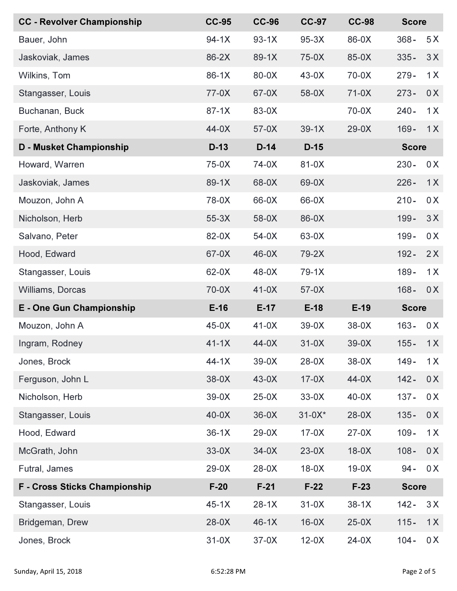| <b>CC - Revolver Championship</b>    | <b>CC-95</b> | <b>CC-96</b> | <b>CC-97</b> | <b>CC-98</b> | <b>Score</b> |     |
|--------------------------------------|--------------|--------------|--------------|--------------|--------------|-----|
| Bauer, John                          | $94-1X$      | $93-1X$      | $95-3X$      | 86-0X        | $368 -$      | 5X  |
| Jaskoviak, James                     | 86-2X        | 89-1X        | 75-0X        | 85-0X        | $335 -$      | 3X  |
| Wilkins, Tom                         | $86-1X$      | 80-0X        | $43-0X$      | 70-0X        | $279 -$      | 1X  |
| Stangasser, Louis                    | 77-0X        | 67-0X        | 58-0X        | $71-0X$      | $273 -$      | 0X  |
| Buchanan, Buck                       | $87-1X$      | 83-0X        |              | $70-0X$      | $240 -$      | 1X  |
| Forte, Anthony K                     | $44-0X$      | $57-0X$      | $39-1X$      | $29-0X$      | $169 -$      | 1X  |
| <b>D - Musket Championship</b>       | $D-13$       | $D-14$       | $D-15$       |              | <b>Score</b> |     |
| Howard, Warren                       | 75-0X        | 74-0X        | 81-0X        |              | $230 -$      | 0 X |
| Jaskoviak, James                     | 89-1X        | 68-0X        | 69-0X        |              | $226 -$      | 1X  |
| Mouzon, John A                       | 78-0X        | 66-0X        | 66-0X        |              | $210 -$      | 0 X |
| Nicholson, Herb                      | $55-3X$      | 58-0X        | 86-0X        |              | $199 -$      | 3X  |
| Salvano, Peter                       | 82-0X        | $54-0X$      | 63-0X        |              | $199 -$      | 0 X |
| Hood, Edward                         | 67-0X        | $46-0X$      | 79-2X        |              | $192 -$      | 2X  |
| Stangasser, Louis                    | 62-0X        | 48-0X        | $79-1X$      |              | $189 -$      | 1X  |
| Williams, Dorcas                     | 70-0X        | $41-0X$      | $57-0X$      |              | $168 -$      | 0X  |
| <b>E</b> - One Gun Championship      | $E-16$       | $E-17$       | $E-18$       | $E-19$       | <b>Score</b> |     |
| Mouzon, John A                       | $45-0X$      | $41-0X$      | $39-0X$      | $38-0X$      | $163 -$      | 0 X |
| Ingram, Rodney                       | $41-1X$      | 44-0X        | $31-0X$      | $39-0X$      | $155 -$      | 1X  |
| Jones, Brock                         | $44-1X$      | $39-0X$      | $28-0X$      | 38-0X        | $149 -$      | 1X  |
| Ferguson, John L                     | $38-0X$      | $43-0X$      | $17-0X$      | $44-0X$      | $142 -$      | 0 X |
| Nicholson, Herb                      | $39-0X$      | $25-0X$      | $33-0X$      | $40-0X$      | $137 -$      | 0 X |
| Stangasser, Louis                    | $40-0X$      | $36-0X$      | $31-0X*$     | $28-0X$      | $135 -$      | 0X  |
| Hood, Edward                         | $36-1X$      | $29-0X$      | $17-0X$      | $27-0X$      | $109 -$      | 1X  |
| McGrath, John                        | $33-0X$      | $34-0X$      | $23-0X$      | $18-0X$      | $108 -$      | 0X  |
| Futral, James                        |              |              |              |              |              |     |
|                                      | $29-0X$      | $28-0X$      | $18-0X$      | $19-0X$      | $94 -$       | 0X  |
| <b>F</b> - Cross Sticks Championship | $F-20$       | $F-21$       | $F-22$       | $F-23$       | <b>Score</b> |     |
| Stangasser, Louis                    | $45-1X$      | $28-1X$      | $31-0X$      | $38-1X$      | $142 -$      | 3X  |
| Bridgeman, Drew                      | $28-0X$      | $46-1X$      | $16-0X$      | $25-0X$      | $115 -$      | 1X  |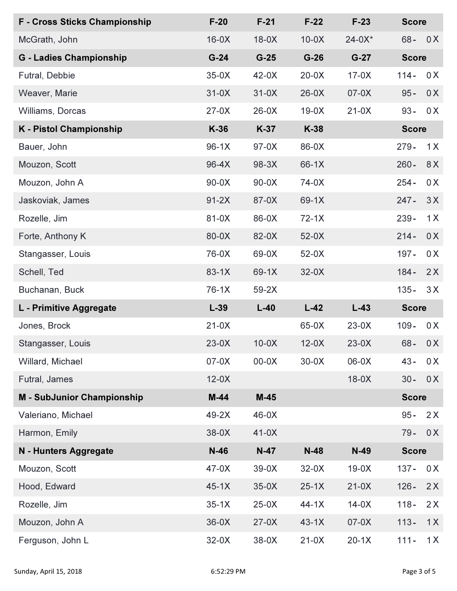| <b>F</b> - Cross Sticks Championship | $F-20$  | $F-21$  | $F-22$  | $F-23$   | <b>Score</b> |              |  |
|--------------------------------------|---------|---------|---------|----------|--------------|--------------|--|
| McGrath, John                        | $16-0X$ | $18-0X$ | $10-0X$ | $24-0X*$ | $68 -$       | 0X           |  |
| <b>G</b> - Ladies Championship       | $G-24$  | $G-25$  | $G-26$  | $G-27$   |              | <b>Score</b> |  |
| Futral, Debbie                       | $35-0X$ | $42-0X$ | $20-0X$ | $17-0X$  | $114 -$      | 0X           |  |
| Weaver, Marie                        | $31-0X$ | $31-0X$ | $26-0X$ | $07-0X$  | $95 -$       | 0X           |  |
| Williams, Dorcas                     | $27-0X$ | $26-0X$ | $19-0X$ | $21-0X$  | $93 -$       | 0X           |  |
| <b>K</b> - Pistol Championship       | $K-36$  | $K-37$  | K-38    |          | <b>Score</b> |              |  |
| Bauer, John                          | $96-1X$ | $97-0X$ | 86-0X   |          | $279 -$      | 1X           |  |
| Mouzon, Scott                        | 96-4X   | 98-3X   | 66-1X   |          | $260 -$      | 8X           |  |
| Mouzon, John A                       | $90-0X$ | $90-0X$ | 74-0X   |          | $254 -$      | 0 X          |  |
| Jaskoviak, James                     | $91-2X$ | 87-0X   | 69-1X   |          | $247 -$      | 3X           |  |
| Rozelle, Jim                         | 81-0X   | 86-0X   | $72-1X$ |          | $239 -$      | 1X           |  |
| Forte, Anthony K                     | 80-0X   | 82-0X   | $52-0X$ |          | $214 -$      | 0X           |  |
| Stangasser, Louis                    | 76-0X   | 69-0X   | $52-0X$ |          | $197 -$      | 0X           |  |
| Schell, Ted                          | $83-1X$ | 69-1X   | $32-0X$ |          | $184 -$      | 2X           |  |
| Buchanan, Buck                       | $76-1X$ | $59-2X$ |         |          | $135 -$      | 3X           |  |
|                                      |         |         | $L-42$  | $L-43$   | <b>Score</b> |              |  |
| L - Primitive Aggregate              | $L-39$  | $L-40$  |         |          |              |              |  |
| Jones, Brock                         | $21-0X$ |         | 65-0X   | $23-0X$  | $109 -$      | 0X           |  |
| Stangasser, Louis                    | $23-0X$ | $10-0X$ | $12-0X$ | $23-0X$  | $68 -$       | 0X           |  |
| Willard, Michael                     | $07-0X$ | $00-0X$ | $30-0X$ | 06-0X    | $43 -$       | 0 X          |  |
| Futral, James                        | $12-0X$ |         |         | $18-0X$  | $30 -$       | 0X           |  |
| <b>M - SubJunior Championship</b>    | $M-44$  | $M-45$  |         |          | <b>Score</b> |              |  |
| Valeriano, Michael                   | $49-2X$ | $46-0X$ |         |          | $95 -$       | 2X           |  |
| Harmon, Emily                        | $38-0X$ | $41-0X$ |         |          | $79 -$       | 0X           |  |
| N - Hunters Aggregate                | $N-46$  | $N-47$  | $N-48$  | $N-49$   | <b>Score</b> |              |  |
| Mouzon, Scott                        | $47-0X$ | $39-0X$ | $32-0X$ | $19-0X$  | $137 -$      | 0X           |  |
| Hood, Edward                         | $45-1X$ | $35-0X$ | $25-1X$ | $21-0X$  | $126 -$      | 2X           |  |
| Rozelle, Jim                         | $35-1X$ | $25-0X$ | $44-1X$ | $14-0X$  | $118 -$      | 2X           |  |
| Mouzon, John A                       | $36-0X$ | $27-0X$ | $43-1X$ | $07-0X$  | $113 -$      | 1X           |  |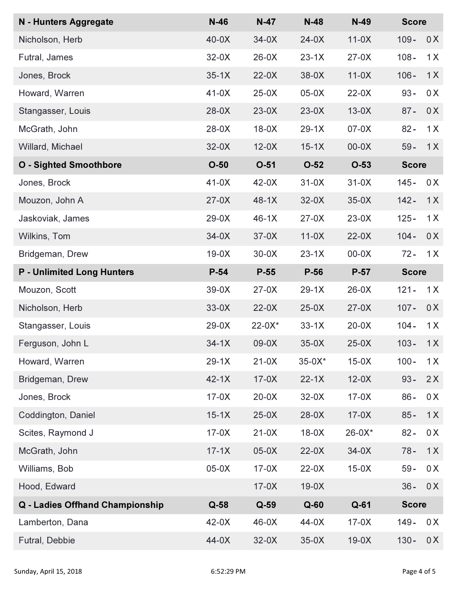| N - Hunters Aggregate             | $N-46$  | $N-47$    | $N-48$    | $N-49$   | <b>Score</b> |     |
|-----------------------------------|---------|-----------|-----------|----------|--------------|-----|
| Nicholson, Herb                   | $40-0X$ | $34-0X$   | $24-0X$   | $11-0X$  | $109 -$      | 0X  |
| Futral, James                     | $32-0X$ | $26-0X$   | $23-1X$   | $27-0X$  | $108 -$      | 1X  |
| Jones, Brock                      | $35-1X$ | $22-0X$   | $38-0X$   | $11-0X$  | $106 -$      | 1X  |
| Howard, Warren                    | $41-0X$ | $25-0X$   | $05-0X$   | $22-0X$  | $93 -$       | 0X  |
| Stangasser, Louis                 | $28-0X$ | $23-0X$   | $23-0X$   | $13-0X$  | $87 -$       | 0X  |
| McGrath, John                     | $28-0X$ | $18-0X$   | $29-1X$   | $07-0X$  | $82 -$       | 1X  |
| Willard, Michael                  | $32-0X$ | $12-0X$   | $15-1X$   | $00-0X$  | $59 -$       | 1X  |
| <b>O</b> - Sighted Smoothbore     | $O-50$  | $O-51$    | $O-52$    | $O-53$   | <b>Score</b> |     |
| Jones, Brock                      | $41-0X$ | $42-0X$   | $31-0X$   | $31-0X$  | $145 -$      | 0 X |
| Mouzon, John A                    | $27-0X$ | $48-1X$   | $32-0X$   | $35-0X$  | $142 -$      | 1X  |
| Jaskoviak, James                  | $29-0X$ | $46-1X$   | $27-0X$   | $23-0X$  | $125 -$      | 1X  |
| Wilkins, Tom                      | $34-0X$ | $37-0X$   | $11-0X$   | $22-0X$  | $104 -$      | 0X  |
| Bridgeman, Drew                   | $19-0X$ | $30-0X$   | $23-1X$   | $00-0X$  | $72 -$       | 1X  |
| <b>P</b> - Unlimited Long Hunters | $P-54$  | $P-55$    | $P-56$    | $P-57$   | <b>Score</b> |     |
| Mouzon, Scott                     | $39-0X$ | $27-0X$   | $29-1X$   | $26-0X$  | $121 -$      | 1X  |
| Nicholson, Herb                   | $33-0X$ | $22-0X$   | $25-0X$   | $27-0X$  | $107 -$      | 0X  |
| Stangasser, Louis                 | $29-0X$ | $22-0X^*$ | $33-1X$   | $20-0X$  | $104 -$      | 1X  |
| Ferguson, John L                  | $34-1X$ | 09-0X     | $35-0X$   | $25-0X$  | $103 -$      | 1X  |
| Howard, Warren                    | $29-1X$ | $21-0X$   | $35-0X^*$ | $15-0X$  | $100 -$      | 1X  |
| Bridgeman, Drew                   | $42-1X$ | $17-0X$   | $22 - 1X$ | $12-0X$  | $93 -$       | 2X  |
| Jones, Brock                      | $17-0X$ | $20-0X$   | $32-0X$   | $17-0X$  | $86 -$       | 0 X |
| Coddington, Daniel                | $15-1X$ | $25-0X$   | $28-0X$   | $17-0X$  | $85 -$       | 1X  |
| Scites, Raymond J                 | $17-0X$ | $21-0X$   | $18-0X$   | $26-0X*$ | $82 -$       | 0 X |
| McGrath, John                     | $17-1X$ | $05-0X$   | $22-0X$   | $34-0X$  | $78 -$       | 1X  |
| Williams, Bob                     | $05-0X$ | $17-0X$   | $22-0X$   | $15-0X$  | $59 -$       | 0 X |
| Hood, Edward                      |         | $17-0X$   | $19-0X$   |          | $36 -$       | 0X  |
| Q - Ladies Offhand Championship   | $Q-58$  | $Q-59$    | $Q-60$    | $Q-61$   | <b>Score</b> |     |
| Lamberton, Dana                   | $42-0X$ | $46-0X$   | 44-0X     | $17-0X$  | $149 -$      | 0 X |
| Futral, Debbie                    | 44-0X   | $32-0X$   | $35-0X$   | $19-0X$  | $130 -$      | 0 X |